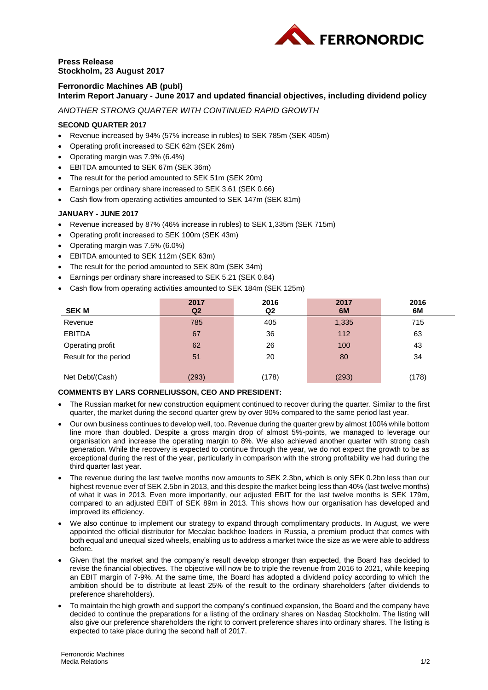

## **Press Release Stockholm, 23 August 2017**

### **Ferronordic Machines AB (publ) Interim Report January - June 2017 and updated financial objectives, including dividend policy**

*ANOTHER STRONG QUARTER WITH CONTINUED RAPID GROWTH*

# **SECOND QUARTER 2017**

- Revenue increased by 94% (57% increase in rubles) to SEK 785m (SEK 405m)
- Operating profit increased to SEK 62m (SEK 26m)
- Operating margin was 7.9% (6.4%)
- EBITDA amounted to SEK 67m (SEK 36m)
- The result for the period amounted to SEK 51m (SEK 20m)
- Earnings per ordinary share increased to SEK 3.61 (SEK 0.66)
- Cash flow from operating activities amounted to SEK 147m (SEK 81m)

### **JANUARY - JUNE 2017**

- Revenue increased by 87% (46% increase in rubles) to SEK 1,335m (SEK 715m)
- Operating profit increased to SEK 100m (SEK 43m)
- Operating margin was 7.5% (6.0%)
- EBITDA amounted to SEK 112m (SEK 63m)
- The result for the period amounted to SEK 80m (SEK 34m)
- Earnings per ordinary share increased to SEK 5.21 (SEK 0.84)
- Cash flow from operating activities amounted to SEK 184m (SEK 125m)

| <b>SEKM</b>           | 2017<br>Q <sub>2</sub> | 2016<br>Q <sub>2</sub> | 2017<br>6M | 2016<br>6M |
|-----------------------|------------------------|------------------------|------------|------------|
| Revenue               | 785                    | 405                    | 1,335      | 715        |
| <b>EBITDA</b>         | 67                     | 36                     | 112        | 63         |
| Operating profit      | 62                     | 26                     | 100        | 43         |
| Result for the period | 51                     | 20                     | 80         | 34         |
| Net Debt/(Cash)       | (293)                  | (178)                  | (293)      | (178)      |

### **COMMENTS BY LARS CORNELIUSSON, CEO AND PRESIDENT:**

- The Russian market for new construction equipment continued to recover during the quarter. Similar to the first quarter, the market during the second quarter grew by over 90% compared to the same period last year.
- Our own business continues to develop well, too. Revenue during the quarter grew by almost 100% while bottom line more than doubled. Despite a gross margin drop of almost 5%-points, we managed to leverage our organisation and increase the operating margin to 8%. We also achieved another quarter with strong cash generation. While the recovery is expected to continue through the year, we do not expect the growth to be as exceptional during the rest of the year, particularly in comparison with the strong profitability we had during the third quarter last year.
- The revenue during the last twelve months now amounts to SEK 2.3bn, which is only SEK 0.2bn less than our highest revenue ever of SEK 2.5bn in 2013, and this despite the market being less than 40% (last twelve months) of what it was in 2013. Even more importantly, our adjusted EBIT for the last twelve months is SEK 179m, compared to an adjusted EBIT of SEK 89m in 2013. This shows how our organisation has developed and improved its efficiency.
- We also continue to implement our strategy to expand through complimentary products. In August, we were appointed the official distributor for Mecalac backhoe loaders in Russia, a premium product that comes with both equal and unequal sized wheels, enabling us to address a market twice the size as we were able to address before.
- Given that the market and the company's result develop stronger than expected, the Board has decided to revise the financial objectives. The objective will now be to triple the revenue from 2016 to 2021, while keeping an EBIT margin of 7-9%. At the same time, the Board has adopted a dividend policy according to which the ambition should be to distribute at least 25% of the result to the ordinary shareholders (after dividends to preference shareholders).
- To maintain the high growth and support the company's continued expansion, the Board and the company have decided to continue the preparations for a listing of the ordinary shares on Nasdaq Stockholm. The listing will also give our preference shareholders the right to convert preference shares into ordinary shares. The listing is expected to take place during the second half of 2017.